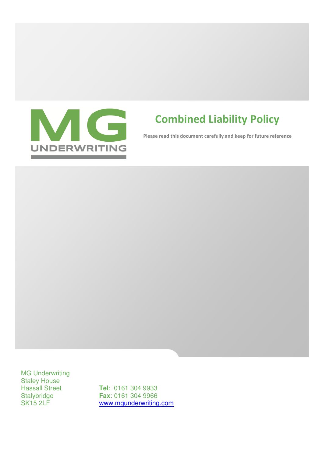

# Combined Liability Policy

Please read this document carefully and keep for future reference

MG Underwriting Staley House

Hassall Street **Tel**: 0161 304 9933<br>Stalybridge **Fax**: 0161 304 9966 Stalybridge **Fax**: 0161 304 9966<br>SK15 2LF www.mqunderwriting www.mgunderwriting.com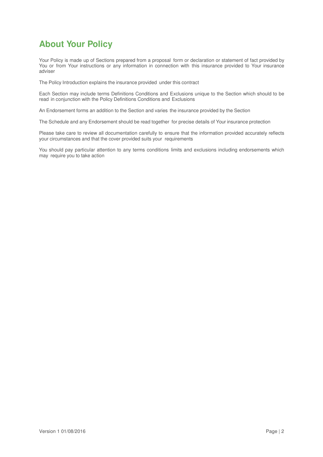# **About Your Policy**

Your Policy is made up of Sections prepared from a proposal form or declaration or statement of fact provided by You or from Your instructions or any information in connection with this insurance provided to Your insurance adviser

The Policy Introduction explains the insurance provided under this contract

Each Section may include terms Definitions Conditions and Exclusions unique to the Section which should to be read in conjunction with the Policy Definitions Conditions and Exclusions

An Endorsement forms an addition to the Section and varies the insurance provided by the Section

The Schedule and any Endorsement should be read together for precise details of Your insurance protection

Please take care to review all documentation carefully to ensure that the information provided accurately reflects your circumstances and that the cover provided suits your requirements

You should pay particular attention to any terms conditions limits and exclusions including endorsements which may require you to take action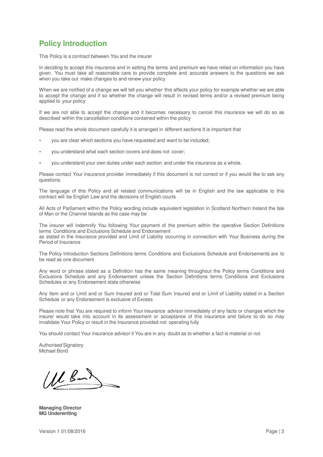# **Policy Introduction**

This Policy is a contract between You and the insurer

In deciding to accept this insurance and in setting the terms and premium we have relied on information you have given. You must take all reasonable care to provide complete and accurate answers to the questions we ask when you take out make changes to and renew your policy

When we are notified of a change we will tell you whether this affects your policy for example whether we are able to accept the change and if so whether the change will result in revised terms and/or a revised premium being applied to your policy

If we are not able to accept the change and it becomes necessary to cancel this insurance we will do so as described within the cancellation conditions contained within the policy

Please read the whole document carefully it is arranged in different sections It is important that

- you are clear which sections you have requested and want to be included;
- you understand what each section covers and does not cover;
- you understand your own duties under each section and under the insurance as a whole.

Please contact Your insurance provider immediately if this document is not correct or if you would like to ask any questions.

The language of this Policy and all related communications will be in English and the law applicable to this contract will be English Law and the decisions of English courts

All Acts of Parliament within the Policy wording include equivalent legislation in Scotland Northern Ireland the Isle of Man or the Channel Islands as the case may be

The insurer will indemnify You following Your payment of the premium within the operative Section Definitions terms Conditions and Exclusions Schedule and Endorsement

as stated in the Insurance provided and Limit of Liability occurring in connection with Your Business during the Period of Insurance

The Policy Introduction Sections Definitions terms Conditions and Exclusions Schedule and Endorsements are to be read as one document

Any word or phrase stated as a Definition has the same meaning throughout the Policy terms Conditions and Exclusions Schedule and any Endorsement unless the Section Definitions terms Conditions and Exclusions Schedules or any Endorsement state otherwise

Any Item and or Limit and or Sum Insured and or Total Sum Insured and or Limit of Liability stated in a Section Schedule or any Endorsement is exclusive of Excess

Please note that You are required to inform Your insurance advisor immediately of any facts or changes which the insurer would take into account in its assessment or acceptance of this insurance and failure to do so may invalidate Your Policy or result in the Insurance provided not operating fully

You should contact Your insurance advisor if You are in any doubt as to whether a fact is material or not

Authorised Signatory Michael Bond

(MB)

**Managing Director MG Underwriting**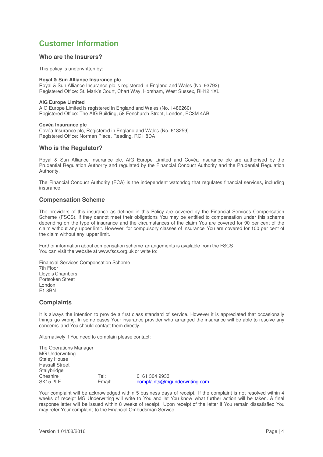# **Customer Information**

### **Who are the Insurers?**

This policy is underwritten by:

### **Royal & Sun Alliance Insurance plc**

Royal & Sun Alliance Insurance plc is registered in England and Wales (No. 93792) Registered Office: St. Mark's Court, Chart Way, Horsham, West Sussex, RH12 1XL

#### **AIG Europe Limited**

AIG Europe Limited is registered in England and Wales (No. 1486260) Registered Office: The AIG Building, 58 Fenchurch Street, London, EC3M 4AB

#### **Covéa Insurance plc**

Covéa Insurance plc, Registered in England and Wales (No. 613259) Registered Office: Norman Place, Reading, RG1 8DA

### **Who is the Regulator?**

Royal & Sun Alliance Insurance plc, AIG Europe Limited and Covéa Insurance plc are authorised by the Prudential Regulation Authority and regulated by the Financial Conduct Authority and the Prudential Regulation Authority.

The Financial Conduct Authority (FCA) is the independent watchdog that regulates financial services, including insurance.

### **Compensation Scheme**

The providers of this insurance as defined in this Policy are covered by the Financial Services Compensation Scheme (FSCS). If they cannot meet their obligations You may be entitled to compensation under this scheme depending on the type of insurance and the circumstances of the claim You are covered for 90 per cent of the claim without any upper limit. However, for compulsory classes of insurance You are covered for 100 per cent of the claim without any upper limit.

Further information about compensation scheme arrangements is available from the FSCS You can visit the website at www.fscs.org.uk or write to:

Financial Services Compensation Scheme 7th Floor Lloyd's Chambers Portsoken Street London E1 8BN

### **Complaints**

It is always the intention to provide a first class standard of service. However it is appreciated that occasionally things go wrong. In some cases Your insurance provider who arranged the insurance will be able to resolve any concerns and You should contact them directly.

Alternatively if You need to complain please contact:

The Operations Manager MG Underwriting Staley House Hassall Street Stalybridge<br>Cheshire Cheshire Tel: 0161 304 9933<br>SK15 2LF Finall: complaints@mo complaints@mgunderwriting.com

Your complaint will be acknowledged within 5 business days of receipt. If the complaint is not resolved within 4 weeks of receipt MG Underwriting will write to You and let You know what further action will be taken. A final response letter will be issued within 8 weeks of receipt. Upon receipt of the letter if You remain dissatisfied You may refer Your complaint to the Financial Ombudsman Service.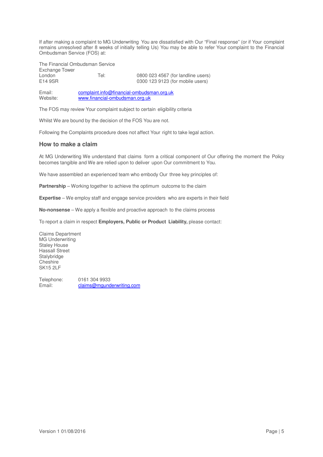If after making a complaint to MG Underwriting You are dissatisfied with Our "Final response" (or if Your complaint remains unresolved after 8 weeks of initially telling Us) You may be able to refer Your complaint to the Financial Ombudsman Service (FOS) at:

The Financial Ombudsman Service Exchange Tower

London Tel: 0800 023 4567 (for landline users) 0300 123 9123 (for mobile users)

Email: complaint.info@financial-ombudsman.org.uk<br>Website: www.financial-ombudsman.org.uk www.financial-ombudsman.org.uk

The FOS may review Your complaint subject to certain eligibility criteria

Whilst We are bound by the decision of the FOS You are not.

Following the Complaints procedure does not affect Your right to take legal action.

## **How to make a claim**

At MG Underwriting We understand that claims form a critical component of Our offering the moment the Policy becomes tangible and We are relied upon to deliver upon Our commitment to You.

We have assembled an experienced team who embody Our three key principles of:

**Partnership** – Working together to achieve the optimum outcome to the claim

**Expertise** – We employ staff and engage service providers who are experts in their field

**No-nonsense** – We apply a flexible and proactive approach to the claims process

To report a claim in respect **Employers, Public or Product Liability,** please contact:

Claims Department MG Underwriting Staley House Hassall Street Stalybridge Cheshire SK15 2LF

Telephone: 0161 304 9933 Email: claims@mgunderwriting.com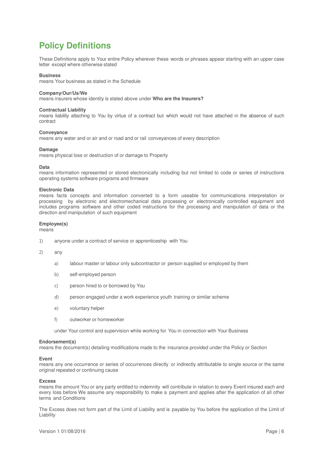# **Policy Definitions**

These Definitions apply to Your entire Policy wherever these words or phrases appear starting with an upper case letter except where otherwise stated

#### **Business**

means Your business as stated in the Schedule

#### **Company/Our/Us/We**

means insurers whose identity is stated above under **Who are the Insurers?**

#### **Contractual Liability**

means liability attaching to You by virtue of a contract but which would not have attached in the absence of such contract

#### **Conveyance**

means any water and or air and or road and or rail conveyances of every description

#### **Damage**

means physical loss or destruction of or damage to Property

#### **Data**

means information represented or stored electronically including but not limited to code or series of instructions operating systems software programs and firmware

#### **Electronic Data**

means facts concepts and information converted to a form useable for communications interpretation or processing by electronic and electromechanical data processing or electronically controlled equipment and includes programs software and other coded instructions for the processing and manipulation of data or the direction and manipulation of such equipment

#### **Employee(s)**

means

- 1) anyone under a contract of service or apprenticeship with You
- 2) any
	- a) labour master or labour only subcontractor or person supplied or employed by them
	- b) self-employed person
	- c) person hired to or borrowed by You
	- d) person engaged under a work experience youth training or similar scheme
	- e) voluntary helper
	- f) outworker or homeworker

under Your control and supervision while working for You in connection with Your Business

#### **Endorsement(s)**

means the document(s) detailing modifications made to the insurance provided under the Policy or Section

#### **Event**

means any one occurrence or series of occurrences directly or indirectly attributable to single source or the same original repeated or continuing cause

#### **Excess**

means the amount You or any party entitled to indemnity will contribute in relation to every Event insured each and every loss before We assume any responsibility to make a payment and applies after the application of all other terms and Conditions

The Excess does not form part of the Limit of Liability and is payable by You before the application of the Limit of Liability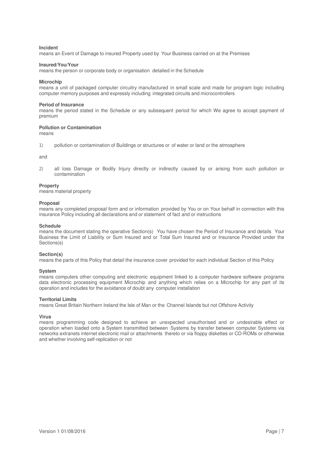#### **Incident**

means an Event of Damage to insured Property used by Your Business carried on at the Premises

#### **Insured/You/Your**

means the person or corporate body or organisation detailed in the Schedule

#### **Microchip**

means a unit of packaged computer circuitry manufactured in small scale and made for program logic including computer memory purposes and expressly including integrated circuits and microcontrollers

#### **Period of Insurance**

means the period stated in the Schedule or any subsequent period for which We agree to accept payment of premium

#### **Pollution or Contamination**

means

1) pollution or contamination of Buildings or structures or of water or land or the atmosphere

and

2) all loss Damage or Bodily Injury directly or indirectly caused by or arising from such pollution or contamination

#### **Property**

means material property

#### **Proposal**

means any completed proposal form and or information provided by You or on Your behalf in connection with this insurance Policy including all declarations and or statement of fact and or instructions

#### **Schedule**

means the document stating the operative Section(s) You have chosen the Period of Insurance and details Your Business the Limit of Liability or Sum Insured and or Total Sum Insured and or Insurance Provided under the Sections(s)

#### **Section(s)**

means the parts of this Policy that detail the insurance cover provided for each individual Section of this Policy

#### **System**

means computers other computing and electronic equipment linked to a computer hardware software programs data electronic processing equipment Microchip and anything which relies on a Microchip for any part of its operation and includes for the avoidance of doubt any computer installation

#### **Territorial Limits**

means Great Britain Northern Ireland the Isle of Man or the Channel Islands but not Offshore Activity

#### **Virus**

means programming code designed to achieve an unexpected unauthorised and or undesirable effect or operation when loaded onto a System transmitted between Systems by transfer between computer Systems via networks extranets internet electronic mail or attachments thereto or via floppy diskettes or CD-ROMs or otherwise and whether involving self-replication or not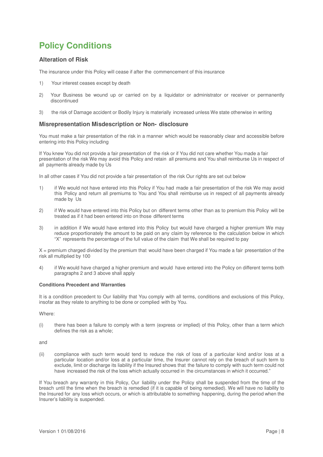# **Policy Conditions**

## **Alteration of Risk**

The insurance under this Policy will cease if after the commencement of this insurance

- 1) Your interest ceases except by death
- 2) Your Business be wound up or carried on by a liquidator or administrator or receiver or permanently discontinued
- 3) the risk of Damage accident or Bodily Injury is materially increased unless We state otherwise in writing

## **Misrepresentation Misdescription or Non- disclosure**

You must make a fair presentation of the risk in a manner which would be reasonably clear and accessible before entering into this Policy including

If You knew You did not provide a fair presentation of the risk or if You did not care whether You made a fair presentation of the risk We may avoid this Policy and retain all premiums and You shall reimburse Us in respect of all payments already made by Us

In all other cases if You did not provide a fair presentation of the risk Our rights are set out below

- 1) if We would not have entered into this Policy if You had made a fair presentation of the risk We may avoid this Policy and return all premiums to You and You shall reimburse us in respect of all payments already made by Us
- 2) if We would have entered into this Policy but on different terms other than as to premium this Policy will be treated as if it had been entered into on those different terms
- 3) in addition if We would have entered into this Policy but would have charged a higher premium We may reduce proportionately the amount to be paid on any claim by reference to the calculation below in which "X" represents the percentage of the full value of the claim that We shall be required to pay

 $X =$  premium charged divided by the premium that would have been charged if You made a fair presentation of the risk all multiplied by 100

4) if We would have charged a higher premium and would have entered into the Policy on different terms both paragraphs 2 and 3 above shall apply

#### **Conditions Precedent and Warranties**

It is a condition precedent to Our liability that You comply with all terms, conditions and exclusions of this Policy, insofar as they relate to anything to be done or complied with by You.

Where:

(i) there has been a failure to comply with a term (express or implied) of this Policy, other than a term which defines the risk as a whole;

and

(ii) compliance with such term would tend to reduce the risk of loss of a particular kind and/or loss at a particular location and/or loss at a particular time, the Insurer cannot rely on the breach of such term to exclude, limit or discharge its liability if the Insured shows that the failure to comply with such term could not have increased the risk of the loss which actually occurred in the circumstances in which it occurred."

If You breach any warranty in this Policy, Our liability under the Policy shall be suspended from the time of the breach until the time when the breach is remedied (if it is capable of being remedied). We will have no liability to the Insured for any loss which occurs, or which is attributable to something happening, during the period when the Insurer's liability is suspended.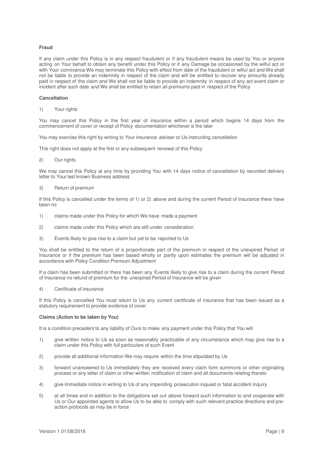#### **Fraud**

If any claim under this Policy is in any respect fraudulent or if any fraudulent means be used by You or anyone acting on Your behalf to obtain any benefit under this Policy or if any Damage be occasioned by the wilful act or with Your connivance We may terminate this Policy with effect from date of the fraudulent or wilful act and We shall not be liable to provide an indemnity in respect of the claim and will be entitled to recover any amounts already paid in respect of the claim and We shall not be liable to provide an indemnity in respect of any act event claim or incident after such date and We shall be entitled to retain all premiums paid in respect of the Policy

#### **Cancellation**

1) Your rights

You may cancel this Policy in the first year of insurance within a period which begins 14 days from the commencement of cover or receipt of Policy documentation whichever is the later

You may exercise this right by writing to Your insurance adviser or Us instructing cancellation

This right does not apply at the first or any subsequent renewal of this Policy

2) Our rights

We may cancel this Policy at any time by providing You with 14 days notice of cancellation by recorded delivery letter to Your last known Business address

3) Return of premium

If this Policy is cancelled under the terms of 1) or 2) above and during the current Period of Insurance there have been no

- 1) claims made under this Policy for which We have made a payment
- 2) claims made under this Policy which are still under consideration
- 3) Events likely to give rise to a claim but yet to be reported to Us

You shall be entitled to the return of a proportionate part of the premium in respect of the unexpired Period of Insurance or if the premium has been based wholly or partly upon estimates the premium will be adjusted in accordance with Policy Condition Premium Adjustment

If a claim has been submitted or there has been any Events likely to give rise to a claim during the current Period of Insurance no refund of premium for the unexpired Period of Insurance will be given

4) Certificate of insurance

If this Policy is cancelled You must return to Us any current certificate of insurance that has been issued as a statutory requirement to provide evidence of cover

#### **Claims (Action to be taken by You)**

It is a condition precedent to any liability of Ours to make any payment under this Policy that You will

- 1) give written notice to Us as soon as reasonably practicable of any circumstance which may give rise to a claim under this Policy with full particulars of such Event
- 2) provide all additional information We may require within the time stipulated by Us
- 3) forward unanswered to Us immediately they are received every claim form summons or other originating process or any letter of claim or other written notification of claim and all documents relating thereto
- 4) give immediate notice in writing to Us of any impending prosecution inquest or fatal accident inquiry
- 5) at all times and in addition to the obligations set out above forward such information to and cooperate with Us or Our appointed agents to allow Us to be able to comply with such relevant practice directions and preaction protocols as may be in force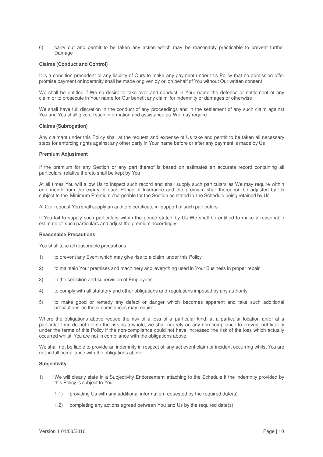6) carry out and permit to be taken any action which may be reasonably practicable to prevent further Damage

#### **Claims (Conduct and Control)**

It is a condition precedent to any liability of Ours to make any payment under this Policy that no admission offer promise payment or indemnity shall be made or given by or on behalf of You without Our written consent

We shall be entitled if We so desire to take over and conduct in Your name the defence or settlement of any claim or to prosecute in Your name for Our benefit any claim for indemnity or damages or otherwise

We shall have full discretion in the conduct of any proceedings and in the settlement of any such claim against You and You shall give all such information and assistance as We may require

#### **Claims (Subrogation)**

Any claimant under this Policy shall at the request and expense of Us take and permit to be taken all necessary steps for enforcing rights against any other party in Your name before or after any payment is made by Us

#### **Premium Adjustment**

If the premium for any Section or any part thereof is based on estimates an accurate record containing all particulars relative thereto shall be kept by You

At all times You will allow Us to inspect such record and shall supply such particulars as We may require within one month from the expiry of each Period of Insurance and the premium shall thereupon be adjusted by Us subject to the Minimum Premium chargeable for the Section as stated in the Schedule being retained by Us

At Our request You shall supply an auditors certificate in support of such particulars

If You fail to supply such particulars within the period stated by Us We shall be entitled to make a reasonable estimate of such particulars and adjust the premium accordingly

#### **Reasonable Precautions**

You shall take all reasonable precautions

- 1) to prevent any Event which may give rise to a claim under this Policy
- 2) to maintain Your premises and machinery and everything used in Your Business in proper repair
- 3) in the selection and supervision of Employees
- 4) to comply with all statutory and other obligations and regulations imposed by any authority
- 5) to make good or remedy any defect or danger which becomes apparent and take such additional precautions as the circumstances may require

Where the obligations above reduce the risk of a loss of a particular kind, at a particular location an/or at a particular time do not define the risk as a whole, we shall not rely on any non-compliance to prevent out liability under the terms of this Policy if the non-compliance could not have increased the risk of the loss which actually occurred whilst You are not in compliance with the obligations above.

We shall not be liable to provide an indemnity in respect of any act event claim or incident occurring whilst You are not in full compliance with the obligations above

#### **Subjectivity**

- 1) We will clearly state in a Subjectivity Endorsement attaching to the Schedule if the indemnity provided by this Policy is subject to You
	- 1.1) providing Us with any additional information requested by the required date(s)
	- 1.2) completing any actions agreed between You and Us by the required date(s)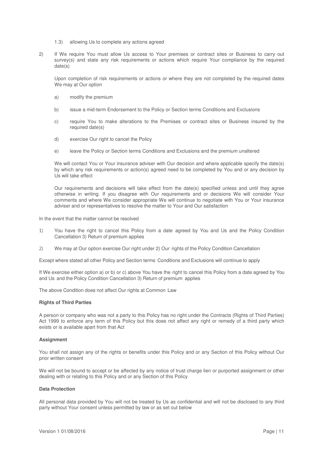- 1.3) allowing Us to complete any actions agreed
- 2) If We require You must allow Us access to Your premises or contract sites or Business to carry out survey(s) and state any risk requirements or actions which require Your compliance by the required date(s)

Upon completion of risk requirements or actions or where they are not completed by the required dates We may at Our option

- a) modify the premium
- b) issue a mid-term Endorsement to the Policy or Section terms Conditions and Exclusions
- c) require You to make alterations to the Premises or contract sites or Business insured by the required date(s)
- d) exercise Our right to cancel the Policy
- e) leave the Policy or Section terms Conditions and Exclusions and the premium unaltered

We will contact You or Your insurance adviser with Our decision and where applicable specify the date(s) by which any risk requirements or action(s) agreed need to be completed by You and or any decision by Us will take effect

Our requirements and decisions will take effect from the date(s) specified unless and until they agree otherwise in writing. If you disagree with Our requirements and or decisions We will consider Your comments and where We consider appropriate We will continue to negotiate with You or Your insurance adviser and or representatives to resolve the matter to Your and Our satisfaction

In the event that the matter cannot be resolved

- 1) You have the right to cancel this Policy from a date agreed by You and Us and the Policy Condition Cancellation 3) Return of premium applies
- 2) We may at Our option exercise Our right under 2) Our rights of the Policy Condition Cancellation

Except where stated all other Policy and Section terms Conditions and Exclusions will continue to apply

If We exercise either option a) or b) or c) above You have the right to cancel this Policy from a date agreed by You and Us and the Policy Condition Cancellation 3) Return of premium applies

The above Condition does not affect Our rights at Common Law

#### **Rights of Third Parties**

A person or company who was not a party to this Policy has no right under the Contracts (Rights of Third Parties) Act 1999 to enforce any term of this Policy but this does not affect any right or remedy of a third party which exists or is available apart from that Act

#### **Assignment**

You shall not assign any of the rights or benefits under this Policy and or any Section of this Policy without Our prior written consent

We will not be bound to accept or be affected by any notice of trust charge lien or purported assignment or other dealing with or relating to this Policy and or any Section of this Policy

#### **Data Protection**

All personal data provided by You will not be treated by Us as confidential and will not be disclosed to any third party without Your consent unless permitted by law or as set out below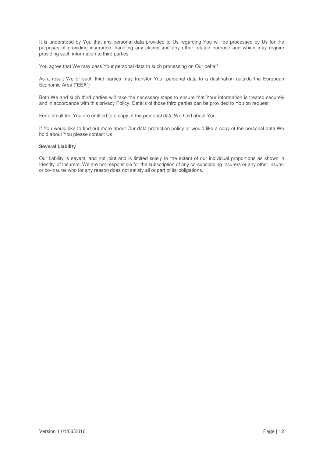It is understood by You that any personal data provided to Us regarding You will be processed by Us for the purposes of providing insurance, handling any claims and any other related purpose and which may require providing such information to third parties

You agree that We may pass Your personal data to such processing on Our behalf

As a result We or such third parties may transfer Your personal data to a destination outside the European Economic Area ("EEA")

Both We and such third parties will take the necessary steps to ensure that Your information is treated securely and in accordance with this privacy Policy. Details of those third parties can be provided to You on request

For a small fee You are entitled to a copy of the personal data We hold about You

If You would like to find out more about Our data protection policy or would like a copy of the personal data We hold about You please contact Us

#### **Several Liability**

Our liability is several and not joint and is limited solely to the extent of our individual proportions as shown in Identity of Insurers. We are not responsible for the subscription of any co-subscribing Insurers or any other Insurer or co-Insurer who for any reason does not satisfy all or part of its obligations.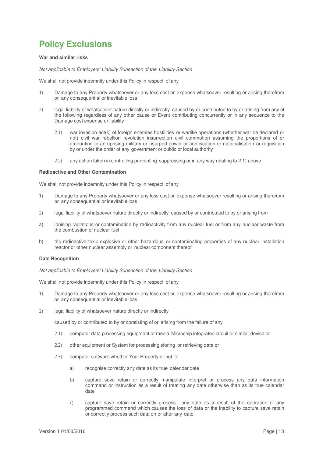# **Policy Exclusions**

#### **War and similar risks**

Not applicable to Employers' Liability Subsection of the Liability Section

We shall not provide indemnity under this Policy in respect of any

- 1) Damage to any Property whatsoever or any loss cost or expense whatsoever resulting or arising therefrom or any consequential or inevitable loss
- 2) legal liability of whatsoever nature directly or indirectly caused by or contributed to by or arising from any of the following regardless of any other cause or Event contributing concurrently or in any sequence to the Damage cost expense or liability
	- 2.1) war invasion act(s) of foreign enemies hostilities or warlike operations (whether war be declared or not) civil war rebellion revolution insurrection civil commotion assuming the proportions of or amounting to an uprising military or usurped power or confiscation or nationalisation or requisition by or under the order of any government or public or local authority
	- 2.2) any action taken in controlling preventing suppressing or in any way relating to 2.1) above

#### **Radioactive and Other Contamination**

We shall not provide indemnity under this Policy in respect of any

- 1) Damage to any Property whatsoever or any loss cost or expense whatsoever resulting or arising therefrom or any consequential or inevitable loss
- 2) legal liability of whatsoever nature directly or indirectly caused by or contributed to by or arising from
- a) ionising radiations or contamination by radioactivity from any nuclear fuel or from any nuclear waste from the combustion of nuclear fuel
- b) the radioactive toxic explosive or other hazardous or contaminating properties of any nuclear installation reactor or other nuclear assembly or nuclear component thereof

#### **Date Recognition**

Not applicable to Employers' Liability Subsection of the Liability Section

We shall not provide indemnity under this Policy in respect of any

- 1) Damage to any Property whatsoever or any loss cost or expense whatsoever resulting or arising therefrom or any consequential or inevitable loss
- 2) legal liability of whatsoever nature directly or indirectly

caused by or contributed to by or consisting of or arising from the failure of any

- 2.1) computer data processing equipment or media Microchip integrated circuit or similar device or
- 2.2) other equipment or System for processing storing or retrieving data or
- 2.3) computer software whether Your Property or not to
	- a) recognise correctly any date as its true calendar date
	- b) capture save retain or correctly manipulate interpret or process any data information command or instruction as a result of treating any date otherwise than as its true calendar date
	- c) capture save retain or correctly process any data as a result of the operation of any programmed command which causes the loss of data or the inability to capture save retain or correctly process such data on or after any date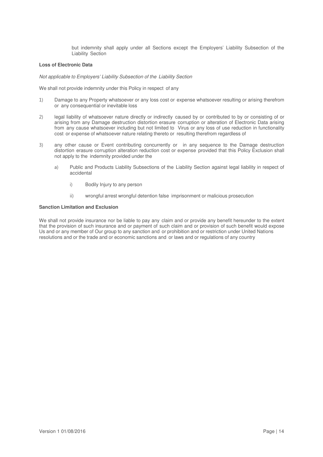but indemnity shall apply under all Sections except the Employers' Liability Subsection of the Liability Section

#### **Loss of Electronic Data**

Not applicable to Employers' Liability Subsection of the Liability Section

We shall not provide indemnity under this Policy in respect of any

- 1) Damage to any Property whatsoever or any loss cost or expense whatsoever resulting or arising therefrom or any consequential or inevitable loss
- 2) legal liability of whatsoever nature directly or indirectly caused by or contributed to by or consisting of or arising from any Damage destruction distortion erasure corruption or alteration of Electronic Data arising from any cause whatsoever including but not limited to Virus or any loss of use reduction in functionality cost or expense of whatsoever nature relating thereto or resulting therefrom regardless of
- 3) any other cause or Event contributing concurrently or in any sequence to the Damage destruction distortion erasure corruption alteration reduction cost or expense provided that this Policy Exclusion shall not apply to the indemnity provided under the
	- a) Public and Products Liability Subsections of the Liability Section against legal liability in respect of accidental
		- i) Bodily Injury to any person
		- ii) wrongful arrest wrongful detention false imprisonment or malicious prosecution

#### **Sanction Limitation and Exclusion**

We shall not provide insurance nor be liable to pay any claim and or provide any benefit hereunder to the extent that the provision of such insurance and or payment of such claim and or provision of such benefit would expose Us and or any member of Our group to any sanction and or prohibition and or restriction under United Nations resolutions and or the trade and or economic sanctions and or laws and or regulations of any country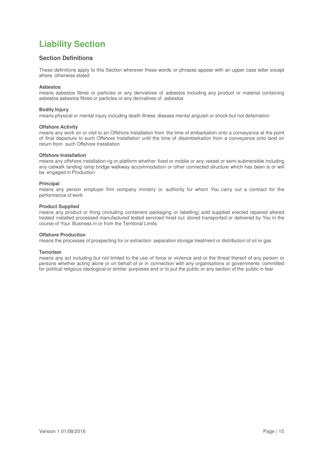# **Liability Section**

# **Section Definitions**

These definitions apply to this Section wherever these words or phrases appear with an upper case letter except where otherwise stated

#### **Asbestos**

means asbestos fibres or particles or any derivatives of asbestos including any product or material containing asbestos asbestos fibres or particles or any derivatives of asbestos

#### **Bodily Injury**

means physical or mental injury including death illness disease mental anguish or shock but not defamation

#### **Offshore Activity**

means any work on or visit to an Offshore Installation from the time of embarkation onto a conveyance at the point of final departure to such Offshore Installation until the time of disembarkation from a conveyance onto land on return from such Offshore Installation

#### **Offshore Installation**

means any offshore installation rig or platform whether fixed or mobile or any vessel or semi-submersible including any catwalk landing ramp bridge walkway accommodation or other connected structure which has been is or will be engaged in Production

#### **Principal**

means any person employer firm company ministry or authority for whom You carry out a contract for the performance of work

#### **Product Supplied**

means any product or thing (including containers packaging or labelling) sold supplied erected repaired altered treated installed processed manufactured tested serviced hired out stored transported or delivered by You in the course of Your Business in or from the Territorial Limits

#### **Offshore Production**

means the processes of prospecting for or extraction separation storage treatment or distribution of oil or gas

#### **Terrorism**

means any act including but not limited to the use of force or violence and or the threat thereof of any person or persons whether acting alone or on behalf of or in connection with any organisations or governments committed for political religious ideological or similar purposes and or to put the public or any section of the public in fear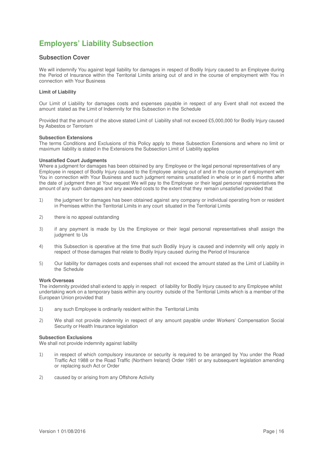# **Employers' Liability Subsection**

## **Subsection Cover**

We will indemnify You against legal liability for damages in respect of Bodily Injury caused to an Employee during the Period of Insurance within the Territorial Limits arising out of and in the course of employment with You in connection with Your Business

#### **Limit of Liability**

Our Limit of Liability for damages costs and expenses payable in respect of any Event shall not exceed the amount stated as the Limit of Indemnity for this Subsection in the Schedule

Provided that the amount of the above stated Limit of Liability shall not exceed £5,000,000 for Bodily Injury caused by Asbestos or Terrorism

#### **Subsection Extensions**

The terms Conditions and Exclusions of this Policy apply to these Subsection Extensions and where no limit or maximum liability is stated in the Extensions the Subsection Limit of Liability applies

#### **Unsatisfied Court Judgments**

Where a judgment for damages has been obtained by any Employee or the legal personal representatives of any Employee in respect of Bodily Injury caused to the Employee arising out of and in the course of employment with You in connection with Your Business and such judgment remains unsatisfied in whole or in part 6 months after the date of judgment then at Your request We will pay to the Employee or their legal personal representatives the amount of any such damages and any awarded costs to the extent that they remain unsatisfied provided that

- 1) the judgment for damages has been obtained against any company or individual operating from or resident in Premises within the Territorial Limits in any court situated in the Territorial Limits
- 2) there is no appeal outstanding
- 3) if any payment is made by Us the Employee or their legal personal representatives shall assign the judgment to Us
- 4) this Subsection is operative at the time that such Bodily Injury is caused and indemnity will only apply in respect of those damages that relate to Bodily Injury caused during the Period of Insurance
- 5) Our liability for damages costs and expenses shall not exceed the amount stated as the Limit of Liability in the Schedule

#### **Work Overseas**

The indemnity provided shall extend to apply in respect of liability for Bodily Injury caused to any Employee whilst undertaking work on a temporary basis within any country outside of the Territorial Limits which is a member of the European Union provided that

- 1) any such Employee is ordinarily resident within the Territorial Limits
- 2) We shall not provide indemnity in respect of any amount payable under Workers' Compensation Social Security or Health Insurance legislation

#### **Subsection Exclusions**

We shall not provide indemnity against liability

- 1) in respect of which compulsory insurance or security is required to be arranged by You under the Road Traffic Act 1988 or the Road Traffic (Northern Ireland) Order 1981 or any subsequent legislation amending or replacing such Act or Order
- 2) caused by or arising from any Offshore Activity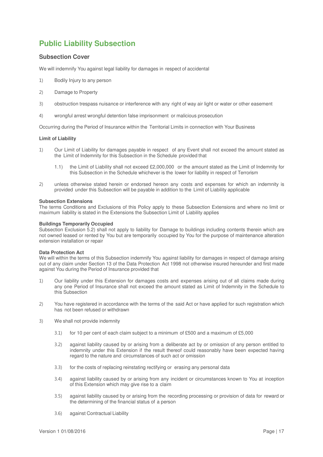# **Public Liability Subsection**

## **Subsection Cover**

We will indemnify You against legal liability for damages in respect of accidental

- 1) Bodily Injury to any person
- 2) Damage to Property
- 3) obstruction trespass nuisance or interference with any right of way air light or water or other easement
- 4) wrongful arrest wrongful detention false imprisonment or malicious prosecution

Occurring during the Period of Insurance within the Territorial Limits in connection with Your Business

#### **Limit of Liability**

- 1) Our Limit of Liability for damages payable in respect of any Event shall not exceed the amount stated as the Limit of Indemnity for this Subsection in the Schedule provided that
	- 1.1) the Limit of Liability shall not exceed £2,000,000 or the amount stated as the Limit of Indemnity for this Subsection in the Schedule whichever is the lower for liability in respect of Terrorism
- 2) unless otherwise stated herein or endorsed hereon any costs and expenses for which an indemnity is provided under this Subsection will be payable in addition to the Limit of Liability applicable

#### **Subsection Extensions**

The terms Conditions and Exclusions of this Policy apply to these Subsection Extensions and where no limit or maximum liability is stated in the Extensions the Subsection Limit of Liability applies

#### **Buildings Temporarily Occupied**

Subsection Exclusion 5.2) shall not apply to liability for Damage to buildings including contents therein which are not owned leased or rented by You but are temporarily occupied by You for the purpose of maintenance alteration extension installation or repair

#### **Data Protection Act**

We will within the terms of this Subsection indemnify You against liability for damages in respect of damage arising out of any claim under Section 13 of the Data Protection Act 1998 not otherwise insured hereunder and first made against You during the Period of Insurance provided that

- 1) Our liability under this Extension for damages costs and expenses arising out of all claims made during any one Period of Insurance shall not exceed the amount stated as Limit of Indemnity in the Schedule to this Subsection
- 2) You have registered in accordance with the terms of the said Act or have applied for such registration which has not been refused or withdrawn
- 3) We shall not provide indemnity
	- 3.1) for 10 per cent of each claim subject to a minimum of £500 and a maximum of £5,000
	- 3.2) against liability caused by or arising from a deliberate act by or omission of any person entitled to indemnity under this Extension if the result thereof could reasonably have been expected having regard to the nature and circumstances of such act or omission
	- 3.3) for the costs of replacing reinstating rectifying or erasing any personal data
	- 3.4) against liability caused by or arising from any incident or circumstances known to You at inception of this Extension which may give rise to a claim
	- 3.5) against liability caused by or arising from the recording processing or provision of data for reward or the determining of the financial status of a person
	- 3.6) against Contractual Liability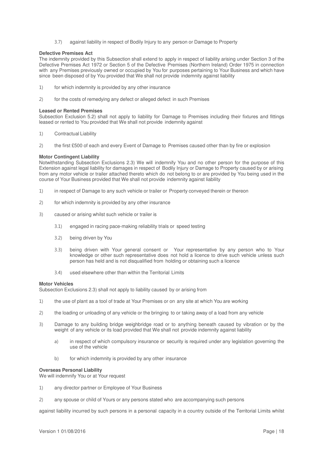3.7) against liability in respect of Bodily Injury to any person or Damage to Property

#### **Defective Premises Act**

The indemnity provided by this Subsection shall extend to apply in respect of liability arising under Section 3 of the Defective Premises Act 1972 or Section 5 of the Defective Premises (Northern Ireland) Order 1975 in connection with any Premises previously owned or occupied by You for purposes pertaining to Your Business and which have since been disposed of by You provided that We shall not provide indemnity against liability

- 1) for which indemnity is provided by any other insurance
- 2) for the costs of remedying any defect or alleged defect in such Premises

#### **Leased or Rented Premises**

Subsection Exclusion 5.2) shall not apply to liability for Damage to Premises including their fixtures and fittings leased or rented to You provided that We shall not provide indemnity against

- 1) Contractual Liability
- 2) the first £500 of each and every Event of Damage to Premises caused other than by fire or explosion

#### **Motor Contingent Liability**

Notwithstanding Subsection Exclusions 2.3) We will indemnify You and no other person for the purpose of this Extension against legal liability for damages in respect of Bodily Injury or Damage to Property caused by or arising from any motor vehicle or trailer attached thereto which do not belong to or are provided by You being used in the course of Your Business provided that We shall not provide indemnity against liability

- 1) in respect of Damage to any such vehicle or trailer or Property conveyed therein or thereon
- 2) for which indemnity is provided by any other insurance
- 3) caused or arising whilst such vehicle or trailer is
	- 3.1) engaged in racing pace-making reliability trials or speed testing
	- 3.2) being driven by You
	- 3.3) being driven with Your general consent or Your representative by any person who to Your knowledge or other such representative does not hold a licence to drive such vehicle unless such person has held and is not disqualified from holding or obtaining such a licence
	- 3.4) used elsewhere other than within the Territorial Limits

#### **Motor Vehicles**

Subsection Exclusions 2.3) shall not apply to liability caused by or arising from

- 1) the use of plant as a tool of trade at Your Premises or on any site at which You are working
- 2) the loading or unloading of any vehicle or the bringing to or taking away of a load from any vehicle
- 3) Damage to any building bridge weighbridge road or to anything beneath caused by vibration or by the weight of any vehicle or its load provided that We shall not provide indemnity against liability
	- a) in respect of which compulsory insurance or security is required under any legislation governing the use of the vehicle
	- b) for which indemnity is provided by any other insurance

#### **Overseas Personal Liability**

We will indemnify You or at Your request

- 1) any director partner or Employee of Your Business
- 2) any spouse or child of Yours or any persons stated who are accompanying such persons

against liability incurred by such persons in a personal capacity in a country outside of the Territorial Limits whilst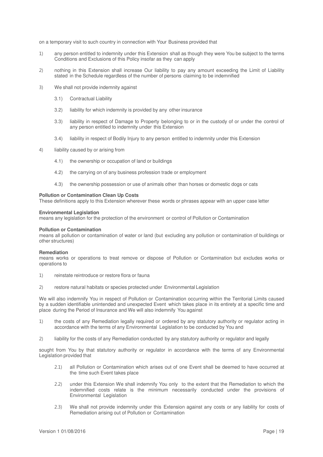on a temporary visit to such country in connection with Your Business provided that

- 1) any person entitled to indemnity under this Extension shall as though they were You be subject to the terms Conditions and Exclusions of this Policy insofar as they can apply
- 2) nothing in this Extension shall increase Our liability to pay any amount exceeding the Limit of Liability stated in the Schedule regardless of the number of persons claiming to be indemnified
- 3) We shall not provide indemnity against
	- 3.1) Contractual Liability
	- 3.2) liability for which indemnity is provided by any other insurance
	- 3.3) liability in respect of Damage to Property belonging to or in the custody of or under the control of any person entitled to indemnity under this Extension
	- 3.4) liability in respect of Bodily Injury to any person entitled to indemnity under this Extension
- 4) liability caused by or arising from
	- 4.1) the ownership or occupation of land or buildings
	- 4.2) the carrying on of any business profession trade or employment
	- 4.3) the ownership possession or use of animals other than horses or domestic dogs or cats

#### **Pollution or Contamination Clean Up Costs**

These definitions apply to this Extension wherever these words or phrases appear with an upper case letter

#### **Environmental Legislation**

means any legislation for the protection of the environment or control of Pollution or Contamination

#### **Pollution or Contamination**

means all pollution or contamination of water or land (but excluding any pollution or contamination of buildings or other structures)

#### **Remediation**

means works or operations to treat remove or dispose of Pollution or Contamination but excludes works or operations to

- 1) reinstate reintroduce or restore flora or fauna
- 2) restore natural habitats or species protected under Environmental Legislation

We will also indemnify You in respect of Pollution or Contamination occurring within the Territorial Limits caused by a sudden identifiable unintended and unexpected Event which takes place in its entirety at a specific time and place during the Period of Insurance and We will also indemnify You against

- 1) the costs of any Remediation legally required or ordered by any statutory authority or regulator acting in accordance with the terms of any Environmental Legislation to be conducted by You and
- 2) liability for the costs of any Remediation conducted by any statutory authority or regulator and legally

sought from You by that statutory authority or regulator in accordance with the terms of any Environmental Legislation provided that

- 2.1) all Pollution or Contamination which arises out of one Event shall be deemed to have occurred at the time such Event takes place
- 2.2) under this Extension We shall indemnify You only to the extent that the Remediation to which the indemnified costs relate is the minimum necessarily conducted under the provisions of Environmental Legislation
- 2.3) We shall not provide indemnity under this Extension against any costs or any liability for costs of Remediation arising out of Pollution or Contamination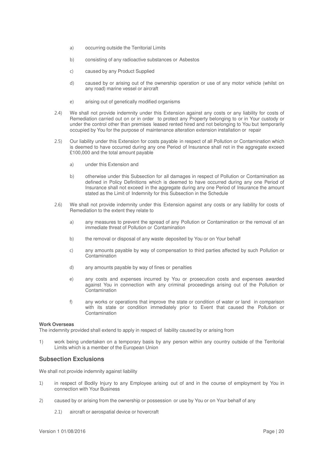- a) occurring outside the Territorial Limits
- b) consisting of any radioactive substances or Asbestos
- c) caused by any Product Supplied
- d) caused by or arising out of the ownership operation or use of any motor vehicle (whilst on any road) marine vessel or aircraft
- e) arising out of genetically modified organisms
- 2.4) We shall not provide indemnity under this Extension against any costs or any liability for costs of Remediation carried out on or in order to protect any Property belonging to or in Your custody or under the control other than premises leased rented hired and not belonging to You but temporarily occupied by You for the purpose of maintenance alteration extension installation or repair
- 2.5) Our liability under this Extension for costs payable in respect of all Pollution or Contamination which is deemed to have occurred during any one Period of Insurance shall not in the aggregate exceed £100,000 and the total amount payable
	- a) under this Extension and
	- b) otherwise under this Subsection for all damages in respect of Pollution or Contamination as defined in Policy Definitions which is deemed to have occurred during any one Period of Insurance shall not exceed in the aggregate during any one Period of Insurance the amount stated as the Limit of Indemnity for this Subsection in the Schedule
- 2.6) We shall not provide indemnity under this Extension against any costs or any liability for costs of Remediation to the extent they relate to
	- a) any measures to prevent the spread of any Pollution or Contamination or the removal of an immediate threat of Pollution or Contamination
	- b) the removal or disposal of any waste deposited by You or on Your behalf
	- c) any amounts payable by way of compensation to third parties affected by such Pollution or Contamination
	- d) any amounts payable by way of fines or penalties
	- e) any costs and expenses incurred by You or prosecution costs and expenses awarded against You in connection with any criminal proceedings arising out of the Pollution or **Contamination**
	- f) any works or operations that improve the state or condition of water or land in comparison with its state or condition immediately prior to Event that caused the Pollution or Contamination

#### **Work Overseas**

The indemnity provided shall extend to apply in respect of liability caused by or arising from

1) work being undertaken on a temporary basis by any person within any country outside of the Territorial Limits which is a member of the European Union

### **Subsection Exclusions**

We shall not provide indemnity against liability

- 1) in respect of Bodily Injury to any Employee arising out of and in the course of employment by You in connection with Your Business
- 2) caused by or arising from the ownership or possession or use by You or on Your behalf of any
	- 2.1) aircraft or aerospatial device or hovercraft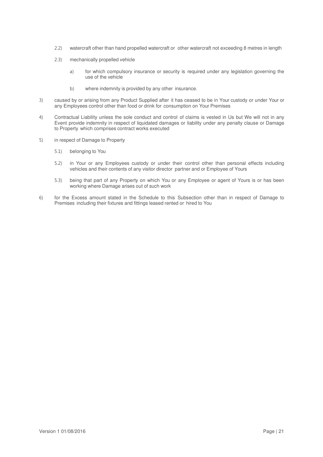- 2.2) watercraft other than hand propelled watercraft or other watercraft not exceeding 8 metres in length
- 2.3) mechanically propelled vehicle
	- a) for which compulsory insurance or security is required under any legislation governing the use of the vehicle
	- b) where indemnity is provided by any other insurance.
- 3) caused by or arising from any Product Supplied after it has ceased to be in Your custody or under Your or any Employees control other than food or drink for consumption on Your Premises
- 4) Contractual Liability unless the sole conduct and control of claims is vested in Us but We will not in any Event provide indemnity in respect of liquidated damages or liability under any penalty clause or Damage to Property which comprises contract works executed
- 5) in respect of Damage to Property
	- 5.1) belonging to You
	- 5.2) in Your or any Employees custody or under their control other than personal effects including vehicles and their contents of any visitor director partner and or Employee of Yours
	- 5.3) being that part of any Property on which You or any Employee or agent of Yours is or has been working where Damage arises out of such work
- 6) for the Excess amount stated in the Schedule to this Subsection other than in respect of Damage to Premises including their fixtures and fittings leased rented or hired to You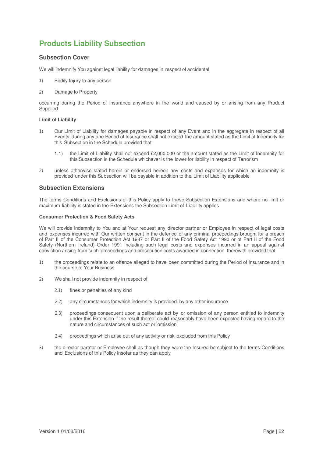# **Products Liability Subsection**

# **Subsection Cover**

We will indemnify You against legal liability for damages in respect of accidental

- 1) Bodily Injury to any person
- 2) Damage to Property

occurring during the Period of Insurance anywhere in the world and caused by or arising from any Product Supplied

#### **Limit of Liability**

- 1) Our Limit of Liability for damages payable in respect of any Event and in the aggregate in respect of all Events during any one Period of Insurance shall not exceed the amount stated as the Limit of Indemnity for this Subsection in the Schedule provided that
	- 1.1) the Limit of Liability shall not exceed £2,000,000 or the amount stated as the Limit of Indemnity for this Subsection in the Schedule whichever is the lower for liability in respect of Terrorism
- 2) unless otherwise stated herein or endorsed hereon any costs and expenses for which an indemnity is provided under this Subsection will be payable in addition to the Limit of Liability applicable

### **Subsection Extensions**

The terms Conditions and Exclusions of this Policy apply to these Subsection Extensions and where no limit or maximum liability is stated in the Extensions the Subsection Limit of Liability applies

#### **Consumer Protection & Food Safety Acts**

We will provide indemnity to You and at Your request any director partner or Employee in respect of legal costs and expenses incurred with Our written consent in the defence of any criminal proceedings brought for a breach of Part II of the Consumer Protection Act 1987 or Part II of the Food Safety Act 1990 or of Part II of the Food Safety (Northern Ireland) Order 1991 including such legal costs and expenses incurred in an appeal against conviction arising from such proceedings and prosecution costs awarded in connection therewith provided that

- 1) the proceedings relate to an offence alleged to have been committed during the Period of Insurance and in the course of Your Business
- 2) We shall not provide indemnity in respect of
	- 2.1) fines or penalties of any kind
	- 2.2) any circumstances for which indemnity is provided by any other insurance
	- 2.3) proceedings consequent upon a deliberate act by or omission of any person entitled to indemnity under this Extension if the result thereof could reasonably have been expected having regard to the nature and circumstances of such act or omission
	- 2.4) proceedings which arise out of any activity or risk excluded from this Policy
- 3) the director partner or Employee shall as though they were the Insured be subject to the terms Conditions and Exclusions of this Policy insofar as they can apply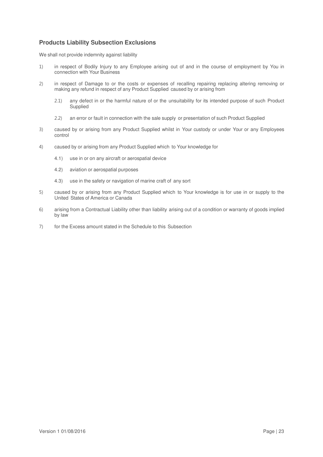# **Products Liability Subsection Exclusions**

We shall not provide indemnity against liability

- 1) in respect of Bodily Injury to any Employee arising out of and in the course of employment by You in connection with Your Business
- 2) in respect of Damage to or the costs or expenses of recalling repairing replacing altering removing or making any refund in respect of any Product Supplied caused by or arising from
	- 2.1) any defect in or the harmful nature of or the unsuitability for its intended purpose of such Product **Supplied**
	- 2.2) an error or fault in connection with the sale supply or presentation of such Product Supplied
- 3) caused by or arising from any Product Supplied whilst in Your custody or under Your or any Employees control
- 4) caused by or arising from any Product Supplied which to Your knowledge for
	- 4.1) use in or on any aircraft or aerospatial device
	- 4.2) aviation or aerospatial purposes
	- 4.3) use in the safety or navigation of marine craft of any sort
- 5) caused by or arising from any Product Supplied which to Your knowledge is for use in or supply to the United States of America or Canada
- 6) arising from a Contractual Liability other than liability arising out of a condition or warranty of goods implied by law
- 7) for the Excess amount stated in the Schedule to this Subsection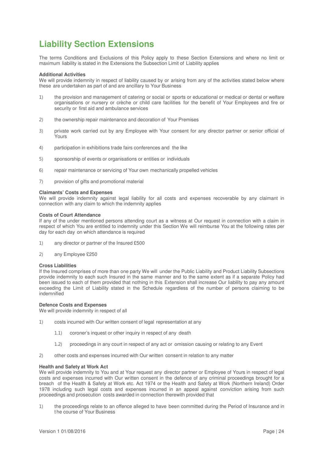# **Liability Section Extensions**

The terms Conditions and Exclusions of this Policy apply to these Section Extensions and where no limit or maximum liability is stated in the Extensions the Subsection Limit of Liability applies

#### **Additional Activities**

We will provide indemnity in respect of liability caused by or arising from any of the activities stated below where these are undertaken as part of and are ancillary to Your Business

- 1) the provision and management of catering or social or sports or educational or medical or dental or welfare organisations or nursery or crèche or child care facilities for the benefit of Your Employees and fire or security or first aid and ambulance services
- 2) the ownership repair maintenance and decoration of Your Premises
- 3) private work carried out by any Employee with Your consent for any director partner or senior official of Yours
- 4) participation in exhibitions trade fairs conferences and the like
- 5) sponsorship of events or organisations or entities or individuals
- 6) repair maintenance or servicing of Your own mechanically propelled vehicles
- 7) provision of gifts and promotional material

#### **Claimants' Costs and Expenses**

We will provide indemnity against legal liability for all costs and expenses recoverable by any claimant in connection with any claim to which the indemnity applies

#### **Costs of Court Attendance**

If any of the under mentioned persons attending court as a witness at Our request in connection with a claim in respect of which You are entitled to indemnity under this Section We will reimburse You at the following rates per day for each day on which attendance is required

- 1) any director or partner of the Insured £500
- 2) any Employee £250

#### **Cross Liabilities**

If the Insured comprises of more than one party We will under the Public Liability and Product Liability Subsections provide indemnity to each such Insured in the same manner and to the same extent as if a separate Policy had been issued to each of them provided that nothing in this Extension shall increase Our liability to pay any amount exceeding the Limit of Liability stated in the Schedule regardless of the number of persons claiming to be indemnified

#### **Defence Costs and Expenses**

We will provide indemnity in respect of all

- 1) costs incurred with Our written consent of legal representation at any
	- 1.1) coroner's inquest or other inquiry in respect of any death
	- 1.2) proceedings in any court in respect of any act or omission causing or relating to any Event
- 2) other costs and expenses incurred with Our written consent in relation to any matter

#### **Health and Safety at Work Act**

We will provide indemnity to You and at Your request any director partner or Employee of Yours in respect of legal costs and expenses incurred with Our written consent in the defence of any criminal proceedings brought for a breach of the Health & Safety at Work etc. Act 1974 or the Health and Safety at Work (Northern Ireland) Order 1978 including such legal costs and expenses incurred in an appeal against conviction arising from such proceedings and prosecution costs awarded in connection therewith provided that

1) the proceedings relate to an offence alleged to have been committed during the Period of Insurance and in t he course of Your Business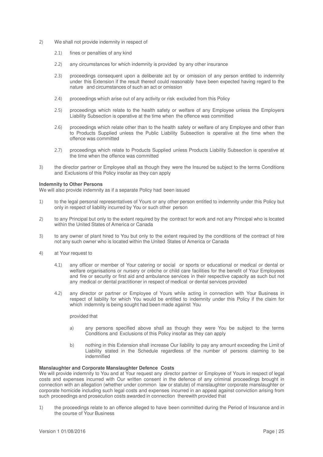- 2) We shall not provide indemnity in respect of
	- 2.1) fines or penalties of any kind
	- 2.2) any circumstances for which indemnity is provided by any other insurance
	- 2.3) proceedings consequent upon a deliberate act by or omission of any person entitled to indemnity under this Extension if the result thereof could reasonably have been expected having regard to the nature and circumstances of such an act or omission
	- 2.4) proceedings which arise out of any activity or risk excluded from this Policy
	- 2.5) proceedings which relate to the health safety or welfare of any Employee unless the Employers Liability Subsection is operative at the time when the offence was committed
	- 2.6) proceedings which relate other than to the health safety or welfare of any Employee and other than to Products Supplied unless the Public Liability Subsection is operative at the time when the offence was committed
	- 2.7) proceedings which relate to Products Supplied unless Products Liability Subsection is operative at the time when the offence was committed
- 3) the director partner or Employee shall as though they were the Insured be subject to the terms Conditions and Exclusions of this Policy insofar as they can apply

#### **Indemnity to Other Persons**

We will also provide indemnity as if a separate Policy had been issued

- 1) to the legal personal representatives of Yours or any other person entitled to indemnity under this Policy but only in respect of liability incurred by You or such other person
- 2) to any Principal but only to the extent required by the contract for work and not any Principal who is located within the United States of America or Canada
- 3) to any owner of plant hired to You but only to the extent required by the conditions of the contract of hire not any such owner who is located within the United States of America or Canada
- 4) at Your request to
	- 4.1) any officer or member of Your catering or social or sports or educational or medical or dental or welfare organisations or nursery or crèche or child care facilities for the benefit of Your Employees and fire or security or first aid and ambulance services in their respective capacity as such but not any medical or dental practitioner in respect of medical or dental services provided
	- 4.2) any director or partner or Employee of Yours while acting in connection with Your Business in respect of liability for which You would be entitled to indemnity under this Policy if the claim for which indemnity is being sought had been made against You

## provided that

- a) any persons specified above shall as though they were You be subject to the terms Conditions and Exclusions of this Policy insofar as they can apply
- b) nothing in this Extension shall increase Our liability to pay any amount exceeding the Limit of Liability stated in the Schedule regardless of the number of persons claiming to be indemnified

#### **Manslaughter and Corporate Manslaughter Defence Costs**

We will provide indemnity to You and at Your request any director partner or Employee of Yours in respect of legal costs and expenses incurred with Our written consent in the defence of any criminal proceedings brought in connection with an allegation (whether under common law or statute) of manslaughter corporate manslaughter or corporate homicide including such legal costs and expenses incurred in an appeal against conviction arising from such proceedings and prosecution costs awarded in connection therewith provided that

1) the proceedings relate to an offence alleged to have been committed during the Period of Insurance and in the course of Your Business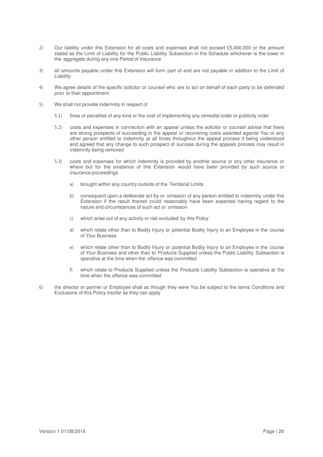- 2) Our liability under this Extension for all costs and expenses shall not exceed £5,000,000 or the amount stated as the Limit of Liability for the Public Liability Subsection in the Schedule whichever is the lower in the aggregate during any one Period of Insurance
- 3) all amounts payable under this Extension will form part of and are not payable in addition to the Limit of Liability
- 4) We agree details of the specific solicitor or counsel who are to act on behalf of each party to be defended prior to their appointment
- 5) We shall not provide indemnity in respect of
	- 5.1) fines or penalties of any kind or the cost of implementing any remedial order or publicity order
	- 5.2) costs and expenses in connection with an appeal unless the solicitor or counsel advise that there are strong prospects of succeeding in the appeal or recovering costs awarded against You or any other person entitled to indemnity at all times throughout the appeal process it being understood and agreed that any change to such prospect of success during the appeals process may result in indemnity being removed
	- 5.3) costs and expenses for which indemnity is provided by another source or any other insurance or where but for the existence of this Extension would have been provided by such source or insurance proceedings
		- a) brought within any country outside of the Territorial Limits
		- b) consequent upon a deliberate act by or omission of any person entitled to indemnity under this Extension if the result thereof could reasonably have been expected having regard to the nature and circumstances of such act or omission
		- c) which arise out of any activity or risk excluded by this Policy
		- d) which relate other than to Bodily Injury or potential Bodily Injury to an Employee in the course of Your Business
		- e) which relate other than to Bodily Injury or potential Bodily Injury to an Employee in the course of Your Business and other than to Products Supplied unless the Public Liability Subsection is operative at the time when the offence was committed
		- f) which relate to Products Supplied unless the Products Liability Subsection is operative at the time when the offence was committed
- 6) the director or partner or Employee shall as though they were You be subject to the terms Conditions and Exclusions of this Policy insofar as they can apply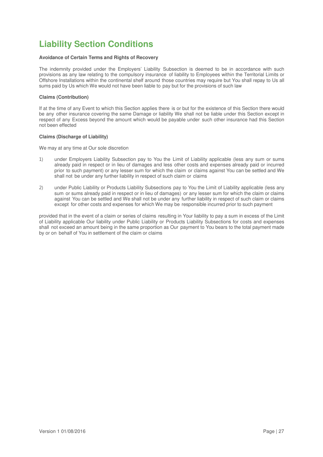# **Liability Section Conditions**

### **Avoidance of Certain Terms and Rights of Recovery**

The indemnity provided under the Employers' Liability Subsection is deemed to be in accordance with such provisions as any law relating to the compulsory insurance of liability to Employees within the Territorial Limits or Offshore Installations within the continental shelf around those countries may require but You shall repay to Us all sums paid by Us which We would not have been liable to pay but for the provisions of such law

#### **Claims (Contribution)**

If at the time of any Event to which this Section applies there is or but for the existence of this Section there would be any other insurance covering the same Damage or liability We shall not be liable under this Section except in respect of any Excess beyond the amount which would be payable under such other insurance had this Section not been effected

#### **Claims (Discharge of Liability)**

We may at any time at Our sole discretion

- 1) under Employers Liability Subsection pay to You the Limit of Liability applicable (less any sum or sums already paid in respect or in lieu of damages and less other costs and expenses already paid or incurred prior to such payment) or any lesser sum for which the claim or claims against You can be settled and We shall not be under any further liability in respect of such claim or claims
- 2) under Public Liability or Products Liability Subsections pay to You the Limit of Liability applicable (less any sum or sums already paid in respect or in lieu of damages) or any lesser sum for which the claim or claims against You can be settled and We shall not be under any further liability in respect of such claim or claims except for other costs and expenses for which We may be responsible incurred prior to such payment

provided that in the event of a claim or series of claims resulting in Your liability to pay a sum in excess of the Limit of Liability applicable Our liability under Public Liability or Products Liability Subsections for costs and expenses shall not exceed an amount being in the same proportion as Our payment to You bears to the total payment made by or on behalf of You in settlement of the claim or claims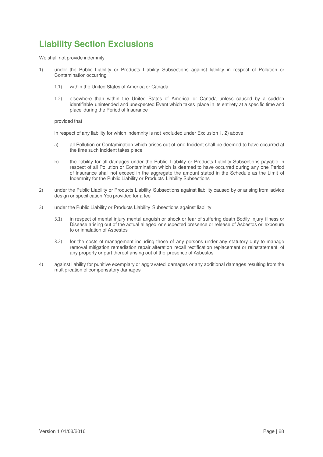# **Liability Section Exclusions**

We shall not provide indemnity

- 1) under the Public Liability or Products Liability Subsections against liability in respect of Pollution or Contamination occurring
	- 1.1) within the United States of America or Canada
	- 1.2) elsewhere than within the United States of America or Canada unless caused by a sudden identifiable unintended and unexpected Event which takes place in its entirety at a specific time and place during the Period of Insurance

provided that

in respect of any liability for which indemnity is not excluded under Exclusion 1. 2) above

- a) all Pollution or Contamination which arises out of one Incident shall be deemed to have occurred at the time such Incident takes place
- b) the liability for all damages under the Public Liability or Products Liability Subsections payable in respect of all Pollution or Contamination which is deemed to have occurred during any one Period of Insurance shall not exceed in the aggregate the amount stated in the Schedule as the Limit of Indemnity for the Public Liability or Products Liability Subsections
- 2) under the Public Liability or Products Liability Subsections against liability caused by or arising from advice design or specification You provided for a fee
- 3) under the Public Liability or Products Liability Subsections against liability
	- 3.1) in respect of mental injury mental anguish or shock or fear of suffering death Bodily Injury illness or Disease arising out of the actual alleged or suspected presence or release of Asbestos or exposure to or inhalation of Asbestos
	- 3.2) for the costs of management including those of any persons under any statutory duty to manage removal mitigation remediation repair alteration recall rectification replacement or reinstatement of any property or part thereof arising out of the presence of Asbestos
- 4) against liability for punitive exemplary or aggravated damages or any additional damages resulting from the multiplication of compensatory damages